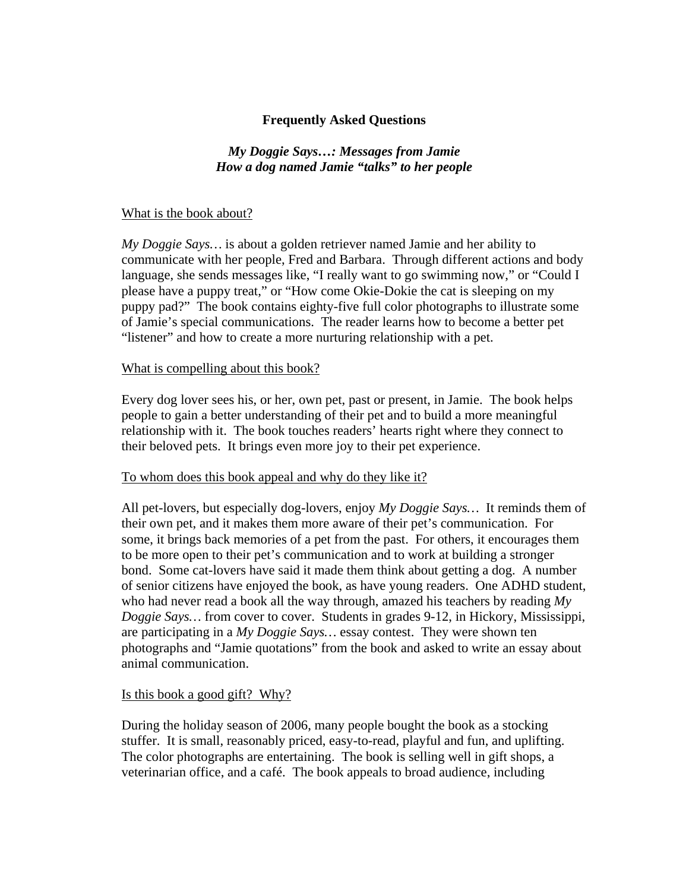# **Frequently Asked Questions**

### *My Doggie Says…: Messages from Jamie How a dog named Jamie "talks" to her people*

#### What is the book about?

*My Doggie Says…* is about a golden retriever named Jamie and her ability to communicate with her people, Fred and Barbara. Through different actions and body language, she sends messages like, "I really want to go swimming now," or "Could I please have a puppy treat," or "How come Okie-Dokie the cat is sleeping on my puppy pad?" The book contains eighty-five full color photographs to illustrate some of Jamie's special communications. The reader learns how to become a better pet "listener" and how to create a more nurturing relationship with a pet.

#### What is compelling about this book?

Every dog lover sees his, or her, own pet, past or present, in Jamie. The book helps people to gain a better understanding of their pet and to build a more meaningful relationship with it. The book touches readers' hearts right where they connect to their beloved pets. It brings even more joy to their pet experience.

#### To whom does this book appeal and why do they like it?

All pet-lovers, but especially dog-lovers, enjoy *My Doggie Says…* It reminds them of their own pet, and it makes them more aware of their pet's communication. For some, it brings back memories of a pet from the past. For others, it encourages them to be more open to their pet's communication and to work at building a stronger bond. Some cat-lovers have said it made them think about getting a dog. A number of senior citizens have enjoyed the book, as have young readers. One ADHD student, who had never read a book all the way through, amazed his teachers by reading *My Doggie Says…* from cover to cover. Students in grades 9-12, in Hickory, Mississippi, are participating in a *My Doggie Says…* essay contest. They were shown ten photographs and "Jamie quotations" from the book and asked to write an essay about animal communication.

#### Is this book a good gift? Why?

During the holiday season of 2006, many people bought the book as a stocking stuffer. It is small, reasonably priced, easy-to-read, playful and fun, and uplifting. The color photographs are entertaining. The book is selling well in gift shops, a veterinarian office, and a café. The book appeals to broad audience, including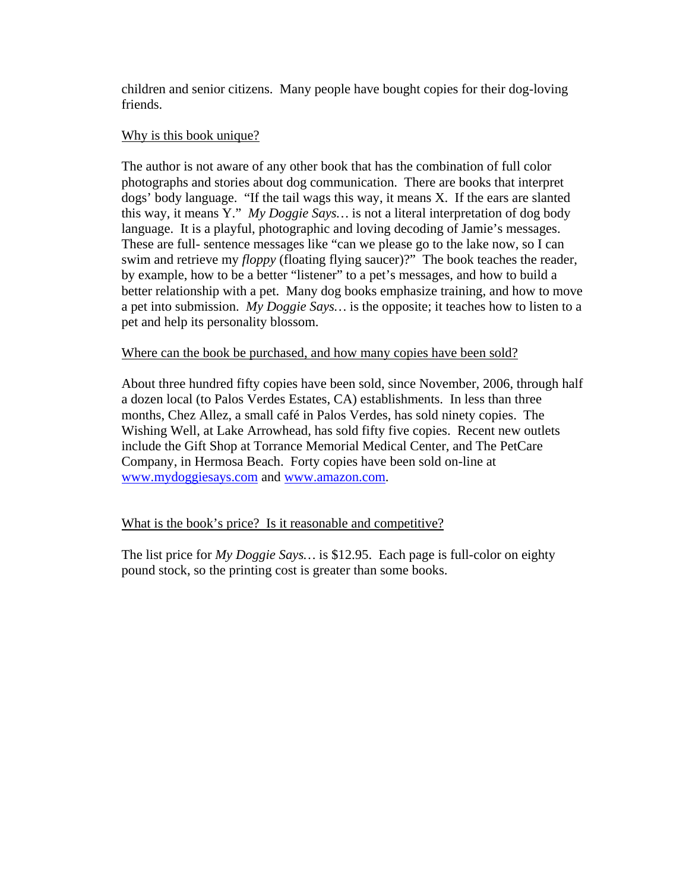children and senior citizens. Many people have bought copies for their dog-loving friends.

### Why is this book unique?

The author is not aware of any other book that has the combination of full color photographs and stories about dog communication. There are books that interpret dogs' body language. "If the tail wags this way, it means X. If the ears are slanted this way, it means Y." *My Doggie Says…* is not a literal interpretation of dog body language. It is a playful, photographic and loving decoding of Jamie's messages. These are full- sentence messages like "can we please go to the lake now, so I can swim and retrieve my *floppy* (floating flying saucer)?" The book teaches the reader, by example, how to be a better "listener" to a pet's messages, and how to build a better relationship with a pet. Many dog books emphasize training, and how to move a pet into submission. *My Doggie Says…* is the opposite; it teaches how to listen to a pet and help its personality blossom.

# Where can the book be purchased, and how many copies have been sold?

About three hundred fifty copies have been sold, since November, 2006, through half a dozen local (to Palos Verdes Estates, CA) establishments. In less than three months, Chez Allez, a small café in Palos Verdes, has sold ninety copies. The Wishing Well, at Lake Arrowhead, has sold fifty five copies. Recent new outlets include the Gift Shop at Torrance Memorial Medical Center, and The PetCare Company, in Hermosa Beach. Forty copies have been sold on-line at www.mydoggiesays.com and www.amazon.com.

# What is the book's price? Is it reasonable and competitive?

The list price for *My Doggie Says…* is \$12.95. Each page is full-color on eighty pound stock, so the printing cost is greater than some books.